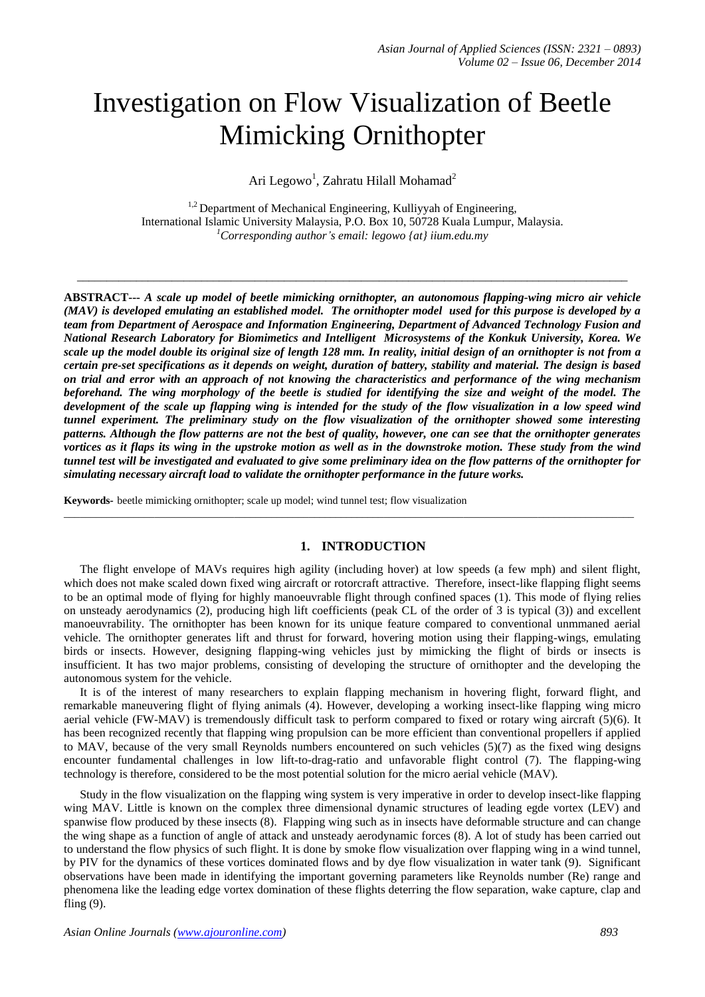# Investigation on Flow Visualization of Beetle Mimicking Ornithopter

Ari Legowo<sup>1</sup>, Zahratu Hilall Mohamad<sup>2</sup>

 $1,2$  Department of Mechanical Engineering, Kulliyyah of Engineering, International Islamic University Malaysia, P.O. Box 10, 50728 Kuala Lumpur, Malaysia. *<sup>1</sup>Corresponding author's email: legowo {at} iium.edu.my*

\_\_\_\_\_\_\_\_\_\_\_\_\_\_\_\_\_\_\_\_\_\_\_\_\_\_\_\_\_\_\_\_\_\_\_\_\_\_\_\_\_\_\_\_\_\_\_\_\_\_\_\_\_\_\_\_\_\_\_\_\_\_\_\_\_\_\_\_\_\_\_\_\_\_\_\_\_\_\_\_\_\_\_\_\_\_\_\_\_\_\_\_\_

**ABSTRACT---** *A scale up model of beetle mimicking ornithopter, an autonomous flapping-wing micro air vehicle (MAV) is developed emulating an established model. The ornithopter model used for this purpose is developed by a team from Department of Aerospace and Information Engineering, Department of Advanced Technology Fusion and National Research Laboratory for Biomimetics and Intelligent Microsystems of the Konkuk University, Korea. We scale up the model double its original size of length 128 mm. In reality, initial design of an ornithopter is not from a certain pre-set specifications as it depends on weight, duration of battery, stability and material. The design is based on trial and error with an approach of not knowing the characteristics and performance of the wing mechanism*  beforehand. The wing morphology of the beetle is studied for identifying the size and weight of the model. The *development of the scale up flapping wing is intended for the study of the flow visualization in a low speed wind tunnel experiment. The preliminary study on the flow visualization of the ornithopter showed some interesting patterns. Although the flow patterns are not the best of quality, however, one can see that the ornithopter generates vortices as it flaps its wing in the upstroke motion as well as in the downstroke motion. These study from the wind tunnel test will be investigated and evaluated to give some preliminary idea on the flow patterns of the ornithopter for simulating necessary aircraft load to validate the ornithopter performance in the future works.*

**Keywords***-* beetle mimicking ornithopter; scale up model; wind tunnel test; flow visualization

# **1. INTRODUCTION**

 $\_$  , and the set of the set of the set of the set of the set of the set of the set of the set of the set of the set of the set of the set of the set of the set of the set of the set of the set of the set of the set of th

The flight envelope of MAVs requires high agility (including hover) at low speeds (a few mph) and silent flight, which does not make scaled down fixed wing aircraft or rotorcraft attractive. Therefore, insect-like flapping flight seems to be an optimal mode of flying for highly manoeuvrable flight through confined spaces (1). This mode of flying relies on unsteady aerodynamics (2), producing high lift coefficients (peak CL of the order of 3 is typical (3)) and excellent manoeuvrability. The ornithopter has been known for its unique feature compared to conventional unmmaned aerial vehicle. The ornithopter generates lift and thrust for forward, hovering motion using their flapping-wings, emulating birds or insects. However, designing flapping-wing vehicles just by mimicking the flight of birds or insects is insufficient. It has two major problems, consisting of developing the structure of ornithopter and the developing the autonomous system for the vehicle.

It is of the interest of many researchers to explain flapping mechanism in hovering flight, forward flight, and remarkable maneuvering flight of flying animals (4). However, developing a working insect-like flapping wing micro aerial vehicle (FW-MAV) is tremendously difficult task to perform compared to fixed or rotary wing aircraft (5)(6). It has been recognized recently that flapping wing propulsion can be more efficient than conventional propellers if applied to MAV, because of the very small Reynolds numbers encountered on such vehicles (5)(7) as the fixed wing designs encounter fundamental challenges in low lift-to-drag-ratio and unfavorable flight control (7). The flapping-wing technology is therefore, considered to be the most potential solution for the micro aerial vehicle (MAV).

Study in the flow visualization on the flapping wing system is very imperative in order to develop insect-like flapping wing MAV. Little is known on the complex three dimensional dynamic structures of leading egde vortex (LEV) and spanwise flow produced by these insects (8). Flapping wing such as in insects have deformable structure and can change the wing shape as a function of angle of attack and unsteady aerodynamic forces (8). A lot of study has been carried out to understand the flow physics of such flight. It is done by smoke flow visualization over flapping wing in a wind tunnel, by PIV for the dynamics of these vortices dominated flows and by dye flow visualization in water tank (9). Significant observations have been made in identifying the important governing parameters like Reynolds number (Re) range and phenomena like the leading edge vortex domination of these flights deterring the flow separation, wake capture, clap and fling (9).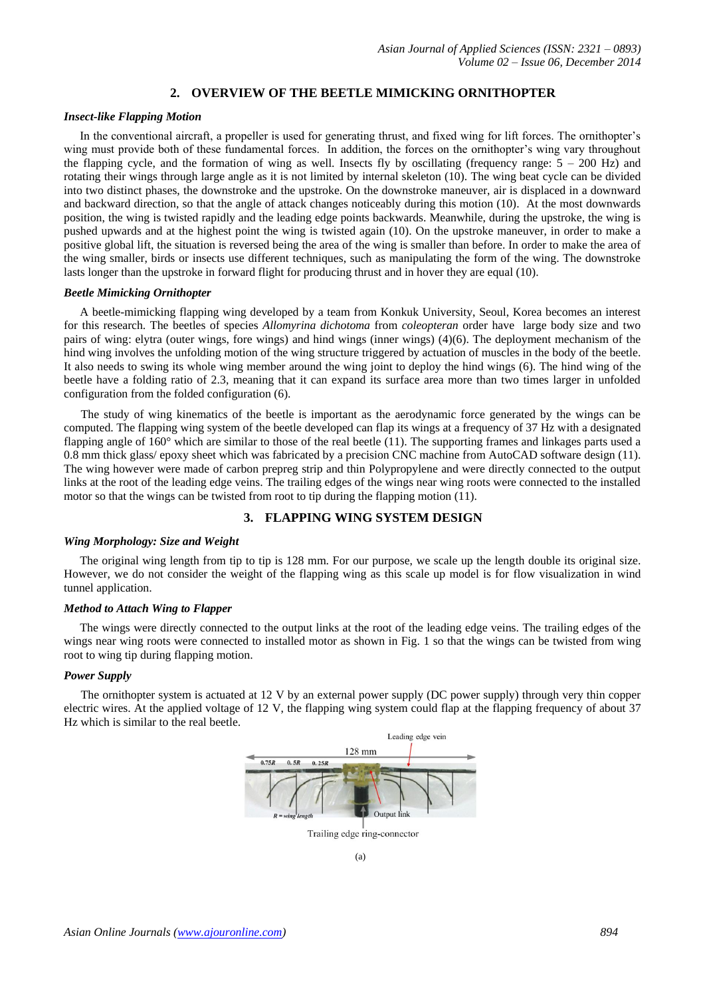## **2. OVERVIEW OF THE BEETLE MIMICKING ORNITHOPTER**

#### *Insect-like Flapping Motion*

In the conventional aircraft, a propeller is used for generating thrust, and fixed wing for lift forces. The ornithopter's wing must provide both of these fundamental forces. In addition, the forces on the ornithopter's wing vary throughout the flapping cycle, and the formation of wing as well. Insects fly by oscillating (frequency range:  $5 - 200$  Hz) and rotating their wings through large angle as it is not limited by internal skeleton (10). The wing beat cycle can be divided into two distinct phases, the downstroke and the upstroke. On the downstroke maneuver, air is displaced in a downward and backward direction, so that the angle of attack changes noticeably during this motion (10). At the most downwards position, the wing is twisted rapidly and the leading edge points backwards. Meanwhile, during the upstroke, the wing is pushed upwards and at the highest point the wing is twisted again (10). On the upstroke maneuver, in order to make a positive global lift, the situation is reversed being the area of the wing is smaller than before. In order to make the area of the wing smaller, birds or insects use different techniques, such as manipulating the form of the wing. The downstroke lasts longer than the upstroke in forward flight for producing thrust and in hover they are equal (10).

#### *Beetle Mimicking Ornithopter*

A beetle-mimicking flapping wing developed by a team from Konkuk University, Seoul, Korea becomes an interest for this research. The beetles of species *Allomyrina dichotoma* from *coleopteran* order have large body size and two pairs of wing: elytra (outer wings, fore wings) and hind wings (inner wings) (4)(6). The deployment mechanism of the hind wing involves the unfolding motion of the wing structure triggered by actuation of muscles in the body of the beetle. It also needs to swing its whole wing member around the wing joint to deploy the hind wings (6). The hind wing of the beetle have a folding ratio of 2.3, meaning that it can expand its surface area more than two times larger in unfolded configuration from the folded configuration (6).

The study of wing kinematics of the beetle is important as the aerodynamic force generated by the wings can be computed. The flapping wing system of the beetle developed can flap its wings at a frequency of 37 Hz with a designated flapping angle of 160° which are similar to those of the real beetle (11). The supporting frames and linkages parts used a 0.8 mm thick glass/ epoxy sheet which was fabricated by a precision CNC machine from AutoCAD software design (11). The wing however were made of carbon prepreg strip and thin Polypropylene and were directly connected to the output links at the root of the leading edge veins. The trailing edges of the wings near wing roots were connected to the installed motor so that the wings can be twisted from root to tip during the flapping motion (11).

## **3. FLAPPING WING SYSTEM DESIGN**

#### *Wing Morphology: Size and Weight*

The original wing length from tip to tip is 128 mm. For our purpose, we scale up the length double its original size. However, we do not consider the weight of the flapping wing as this scale up model is for flow visualization in wind tunnel application.

#### *Method to Attach Wing to Flapper*

The wings were directly connected to the output links at the root of the leading edge veins. The trailing edges of the wings near wing roots were connected to installed motor as shown in Fig. 1 so that the wings can be twisted from wing root to wing tip during flapping motion.

#### *Power Supply*

The ornithopter system is actuated at 12 V by an external power supply (DC power supply) through very thin copper electric wires. At the applied voltage of 12 V, the flapping wing system could flap at the flapping frequency of about 37 Hz which is similar to the real beetle.

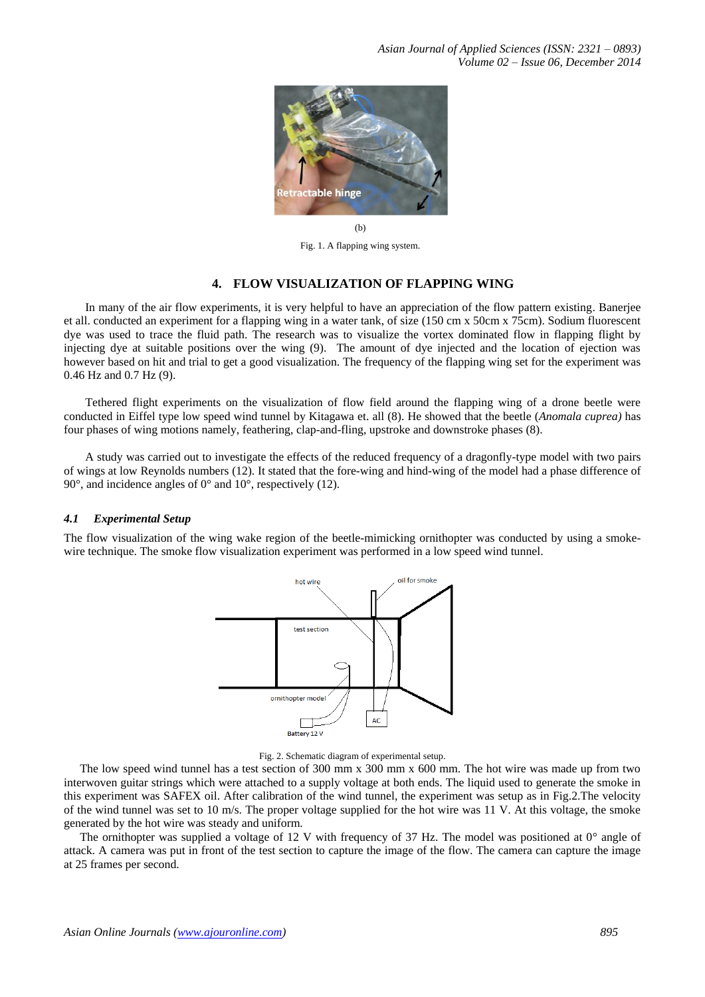

Fig. 1. A flapping wing system.

## **4. FLOW VISUALIZATION OF FLAPPING WING**

In many of the air flow experiments, it is very helpful to have an appreciation of the flow pattern existing. Banerjee et all. conducted an experiment for a flapping wing in a water tank, of size (150 cm x 50cm x 75cm). Sodium fluorescent dye was used to trace the fluid path. The research was to visualize the vortex dominated flow in flapping flight by injecting dye at suitable positions over the wing (9). The amount of dye injected and the location of ejection was however based on hit and trial to get a good visualization. The frequency of the flapping wing set for the experiment was 0.46 Hz and 0.7 Hz (9).

Tethered flight experiments on the visualization of flow field around the flapping wing of a drone beetle were conducted in Eiffel type low speed wind tunnel by Kitagawa et. all (8). He showed that the beetle (*Anomala cuprea)* has four phases of wing motions namely, feathering, clap-and-fling, upstroke and downstroke phases (8).

A study was carried out to investigate the effects of the reduced frequency of a dragonfly-type model with two pairs of wings at low Reynolds numbers (12). It stated that the fore-wing and hind-wing of the model had a phase difference of 90°, and incidence angles of 0° and 10°, respectively (12).

#### *4.1 Experimental Setup*

The flow visualization of the wing wake region of the beetle-mimicking ornithopter was conducted by using a smokewire technique. The smoke flow visualization experiment was performed in a low speed wind tunnel.





The low speed wind tunnel has a test section of 300 mm x 300 mm x 600 mm. The hot wire was made up from two interwoven guitar strings which were attached to a supply voltage at both ends. The liquid used to generate the smoke in this experiment was SAFEX oil. After calibration of the wind tunnel, the experiment was setup as in Fig.2.The velocity of the wind tunnel was set to 10 m/s. The proper voltage supplied for the hot wire was 11 V. At this voltage, the smoke generated by the hot wire was steady and uniform.

The ornithopter was supplied a voltage of 12 V with frequency of 37 Hz. The model was positioned at 0° angle of attack. A camera was put in front of the test section to capture the image of the flow. The camera can capture the image at 25 frames per second.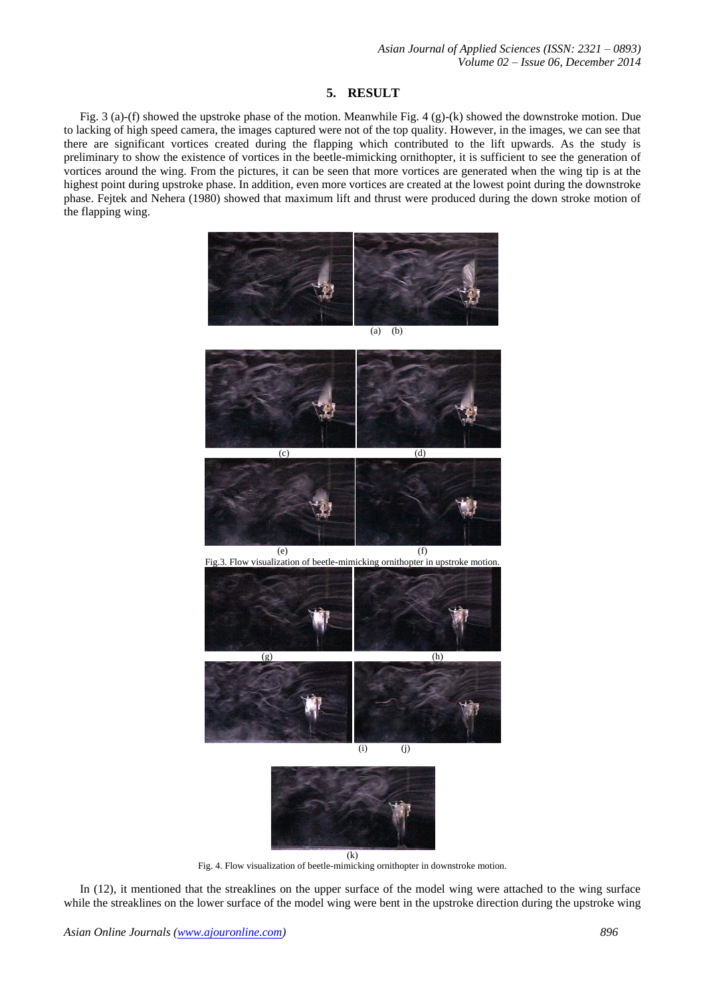## **5. RESULT**

Fig. 3 (a)-(f) showed the upstroke phase of the motion. Meanwhile Fig. 4 (g)-(k) showed the downstroke motion. Due to lacking of high speed camera, the images captured were not of the top quality. However, in the images, we can see that there are significant vortices created during the flapping which contributed to the lift upwards. As the study is preliminary to show the existence of vortices in the beetle-mimicking ornithopter, it is sufficient to see the generation of vortices around the wing. From the pictures, it can be seen that more vortices are generated when the wing tip is at the highest point during upstroke phase. In addition, even more vortices are created at the lowest point during the downstroke phase. Fejtek and Nehera (1980) showed that maximum lift and thrust were produced during the down stroke motion of the flapping wing.



Fig. 4. Flow visualization of beetle-mimicking ornithopter in downstroke motion.

In (12), it mentioned that the streaklines on the upper surface of the model wing were attached to the wing surface while the streaklines on the lower surface of the model wing were bent in the upstroke direction during the upstroke wing